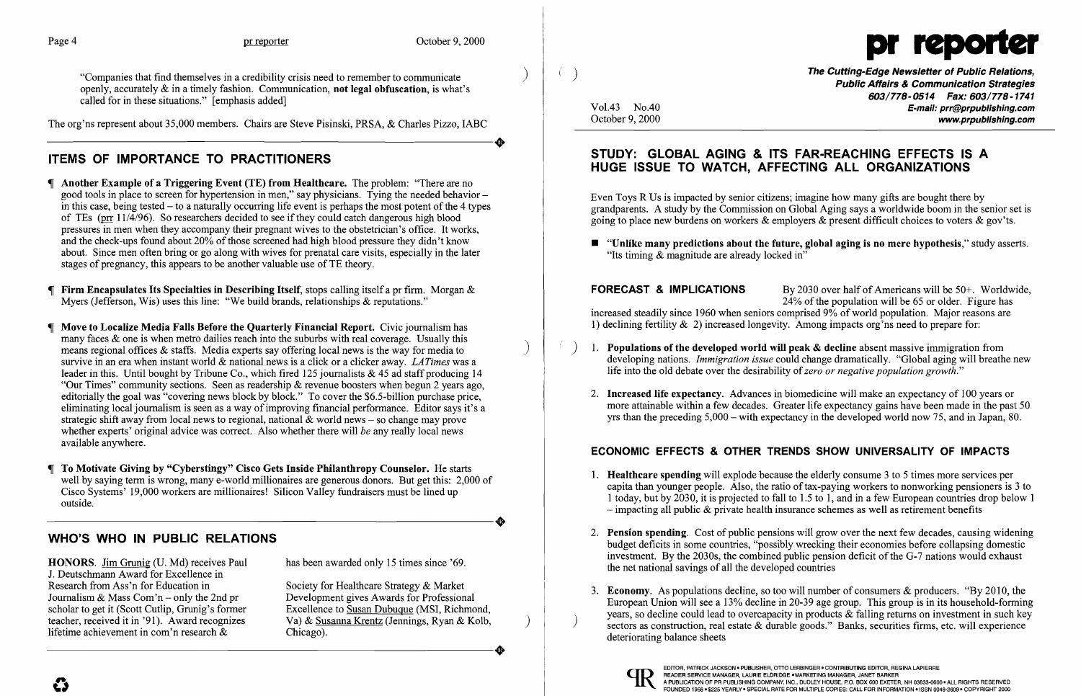The org'ns represent about 35,000 members. Chairs are Steve Pisinski, PRSA, & Charles Pizzo, IABC The org'ns represent about 35,000 members. Chairs are Steve Pisinski, PRSA, & Charles Pizzo, IABC

"Companies that find themselves in a credibility crisis need to remember to communicate ) openly, accurately  $\&$  in a timely fashion. Communication, not legal obfuscation, is what's called for in these situations." [emphasis added]

# ITEMS OF IMPORTANCE TO PRACTITIONERS

HONORS. Jim Grunig (D. Md) receives Paul has been awarded only 15 times since '69. J. Deutschmann Award for Excellence in Research from Ass'n for Education in Society for Healthcare Strategy & Market Journalism & Mass Com'n - only the 2nd pr Development gives Awards for Professional lifetime achievement in com'n research  $\&$ 

scholar to get it (Scott Cutlip, Grunig's former Excellence to Susan Dubuque (MSI, Richmond, teacher, received it in '91). Award recognizes Va) & Susanna Krentz (Jennings, Ryan & Kolb, lifetime achievement in com'n research & Chicago). teacher, received it in '91). Award recognizes Va) & Susanna Krentz (Jennings, Ryan & Kolb,<br>lifetime achievement in com'n research & Chicago).

- Another Example of a Triggering Event (TE) from Healthcare. The problem: "There are no good tools in place to screen for hypertension in men," say physicians. Tying the needed behavior in this case, being tested  $-$  to a naturally occurring life event is perhaps the most potent of the 4 types of TEs (prr  $11/4/96$ ). So researchers decided to see if they could catch dangerous high blood pressures in men when they accompany their pregnant wives to the obstetrician's office. It works, and the check-ups found about  $20\%$  of those screened had high blood pressure they didn't know about. Since men often bring or go along with wives for prenatal care visits, especially in the later stages of pregnancy, this appears to be another valuable use of TE theory.
- **Firm Encapsulates Its Specialties in Describing Itself, stops calling itself a pr firm.** Morgan  $\&$ Myers (Jefferson, Wis) uses this line: "We build brands, relationships & reputations."
- Move to Localize Media Falls Before the Quarterly Financial Report. Civic journalism has many faces  $\&$  one is when metro dailies reach into the suburbs with real coverage. Usually this means regional offices  $\&$  staffs. Media experts say offering local news is the way for media to survive in an era when instant world & national news is a click or a clicker away. *LA Times* was a leader in this. Until bought by Tribune Co., which fired 125 journalists  $\&$  45 ad staff producing 14 "Our Times" community sections. Seen as readership & revenue boosters when begun 2 years ago, editorially the goal was "covering news block by block." To cover the \$6.5-billion purchase price, eliminating local journalism is seen as a way of improving financial performance. Editor says it's a strategic shift away from local news to regional, national  $\&$  world news – so change may prove whether experts' original advice was correct. Also whether there will *be* any really local news available anywhere.
- To Motivate Giving by "Cyberstingy" Cisco Gets Inside Philanthropy Counselor. He starts well by saying term is wrong, many e-world millionaires are generous donors. But get this: 2,000 of Cisco Systems' 19,000 workers are millionaires! Silicon Valley fundraisers must be lined up<br>
outside. outside.

Even Toys R Us is impacted by senior citizens; imagine how many gifts are bought there by grandparents. A study by the Commission on Global Aging says a worldwide boom in the senior set is going to place new burdens on workers  $\&$  employers  $\&$  present difficult choices to voters  $\&$  gov'ts.

**FORECAST & IMPLICATIONS** By 2030 over half of Americans will be  $50+$ . Worldwide,  $24\%$  of the population will be 65 or older. Figure has increased steadily since 1960 when seniors comprised 9% of world population. Major reasons are 1) declining fertility & 2) increased longevity. Among impacts org'ns need to prepare for:

- *i*. Populations of the developed world will peak & decline absent massive immigration from life into the old debate over the desirability of*zero or negative population growth."*
- 

2. **Increased life expectancy.** Advances in biomedicine will make an expectancy of 100 years or more attainable within a few decades. Greater life expectancy gains have been made in the past 50 yrs than the preceding 5,000 - with expectancy in the developed world now 75, and in Japan, 80.

1. **Healthcare spending** will explode because the elderly consume 3 to 5 times more services per capita than younger people. Also, the ratio of tax-paying workers to nonworking pensioners is 3 to 1 today, but by 2030, it is projected to fall to 1.5 to 1, and in a few European countries drop below 1

2. **Pension spending.** Cost of public pensions will grow over the next few decades, causing widening budget deficits in some countries, "possibly wrecking their economies before collapsing domestic investment. By the 2030s, the combined public pension deficit of the G-7 nations would exhaust

3. Economy. As populations decline, so too will number of consumers & producers. "By 2010, the European Union will see a 13% decline in 20-39 age group. This group is in its household-forming years, so decline could lead to overcapacity in products  $\&$  falling returns on investment in such key sectors as construction, real estate  $\&$  durable goods." Banks, securities firms, etc. will experience

# WHO'S WHO IN PUBLIC RELATIONS

- $-$  impacting all public  $\&$  private health insurance schemes as well as retirement benefits
- the net national savings of all the developed countries
- deteriorating balance sheets



 $\boldsymbol{\mathcal{C}}$ 



The Cutting-Edge Newsletter of Public Relations,<br>Public Affairs & Communication Strategies 603/778-0514 Fax: 603/778-1741 Vo1.43 *NoAO* E-mail: prr@prpublishing.com October 9, 2000 **www.prpublishing.com** 

 $\blacksquare$  "Unlike many predictions about the future, global aging is no mere hypothesis," study asserts.

## STUDY: GLOBAL AGING & ITS FAR-REACHING EFFECTS IS A HUGE ISSUE TO WATCH, AFFECTING ALL ORGANIZATIONS

"Its timing & magnitude are already locked in"

developing nations. *Immigration issue* could change dramatically. "Global aging will breathe new

## ECONOMIC EFFECTS & OTHER TRENDS SHOW UNIVERSALITY OF IMPACTS